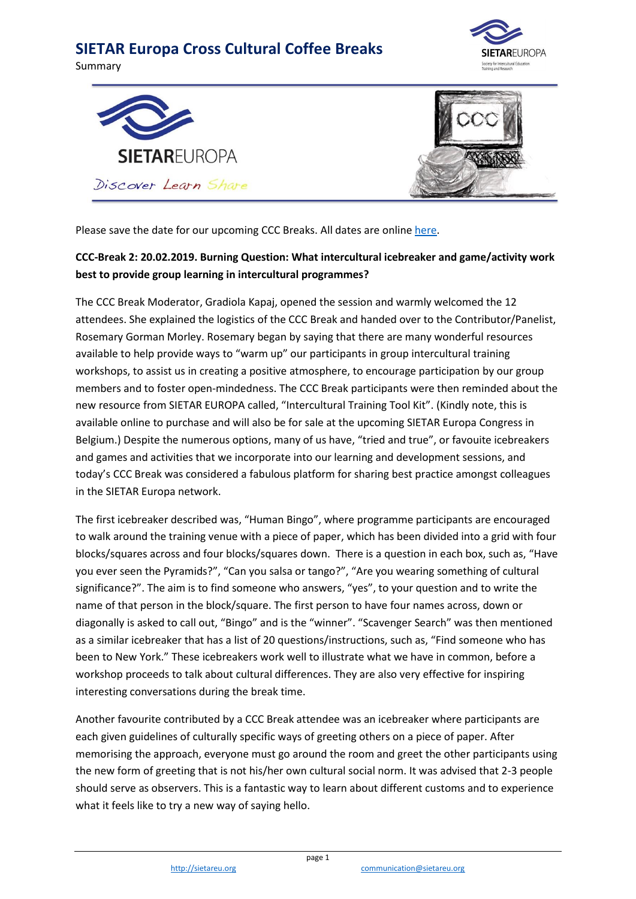







Please save the date for our upcoming CCC Breaks. All dates are online [here.](https://www.sietareu.org/activities/cross-cultural-coffee-breaks)

#### **CCC-Break 2: 20.02.2019. Burning Question: What intercultural icebreaker and game/activity work best to provide group learning in intercultural programmes?**

The CCC Break Moderator, Gradiola Kapaj, opened the session and warmly welcomed the 12 attendees. She explained the logistics of the CCC Break and handed over to the Contributor/Panelist, Rosemary Gorman Morley. Rosemary began by saying that there are many wonderful resources available to help provide ways to "warm up" our participants in group intercultural training workshops, to assist us in creating a positive atmosphere, to encourage participation by our group members and to foster open-mindedness. The CCC Break participants were then reminded about the new resource from SIETAR EUROPA called, "Intercultural Training Tool Kit". (Kindly note, this is available online to purchase and will also be for sale at the upcoming SIETAR Europa Congress in Belgium.) Despite the numerous options, many of us have, "tried and true", or favouite icebreakers and games and activities that we incorporate into our learning and development sessions, and today's CCC Break was considered a fabulous platform for sharing best practice amongst colleagues in the SIETAR Europa network.

The first icebreaker described was, "Human Bingo", where programme participants are encouraged to walk around the training venue with a piece of paper, which has been divided into a grid with four blocks/squares across and four blocks/squares down. There is a question in each box, such as, "Have you ever seen the Pyramids?", "Can you salsa or tango?", "Are you wearing something of cultural significance?". The aim is to find someone who answers, "yes", to your question and to write the name of that person in the block/square. The first person to have four names across, down or diagonally is asked to call out, "Bingo" and is the "winner". "Scavenger Search" was then mentioned as a similar icebreaker that has a list of 20 questions/instructions, such as, "Find someone who has been to New York." These icebreakers work well to illustrate what we have in common, before a workshop proceeds to talk about cultural differences. They are also very effective for inspiring interesting conversations during the break time.

Another favourite contributed by a CCC Break attendee was an icebreaker where participants are each given guidelines of culturally specific ways of greeting others on a piece of paper. After memorising the approach, everyone must go around the room and greet the other participants using the new form of greeting that is not his/her own cultural social norm. It was advised that 2-3 people should serve as observers. This is a fantastic way to learn about different customs and to experience what it feels like to try a new way of saying hello.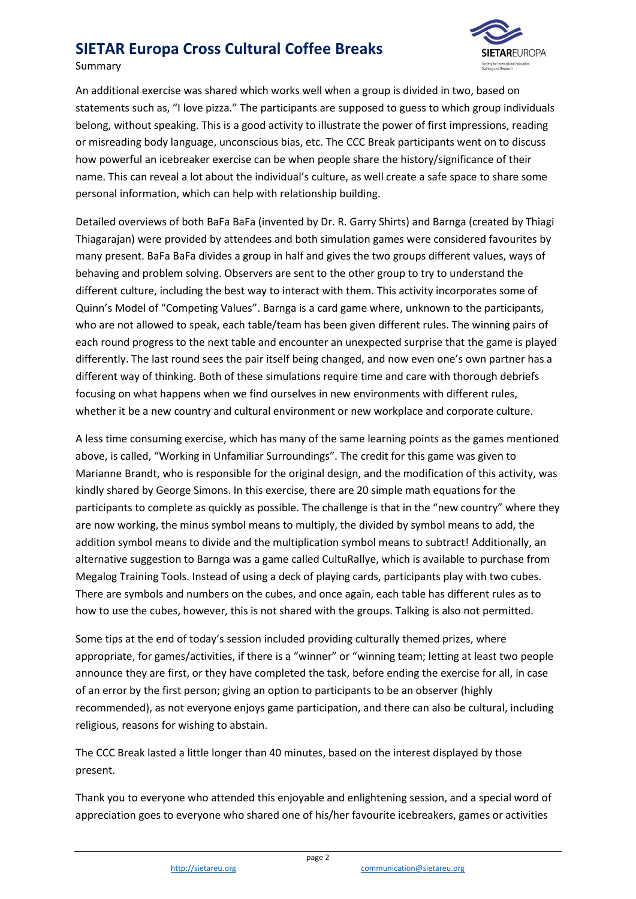

Summary

An additional exercise was shared which works well when a group is divided in two, based on statements such as, "I love pizza." The participants are supposed to guess to which group individuals belong, without speaking. This is a good activity to illustrate the power of first impressions, reading or misreading body language, unconscious bias, etc. The CCC Break participants went on to discuss how powerful an icebreaker exercise can be when people share the history/significance of their name. This can reveal a lot about the individual's culture, as well create a safe space to share some personal information, which can help with relationship building.

Detailed overviews of both BaFa BaFa (invented by Dr. R. Garry Shirts) and Barnga (created by Thiagi Thiagarajan) were provided by attendees and both simulation games were considered favourites by many present. BaFa BaFa divides a group in half and gives the two groups different values, ways of behaving and problem solving. Observers are sent to the other group to try to understand the different culture, including the best way to interact with them. This activity incorporates some of Quinn's Model of "Competing Values". Barnga is a card game where, unknown to the participants, who are not allowed to speak, each table/team has been given different rules. The winning pairs of each round progress to the next table and encounter an unexpected surprise that the game is played differently. The last round sees the pair itself being changed, and now even one's own partner has a different way of thinking. Both of these simulations require time and care with thorough debriefs focusing on what happens when we find ourselves in new environments with different rules, whether it be a new country and cultural environment or new workplace and corporate culture.

A less time consuming exercise, which has many of the same learning points as the games mentioned above, is called, "Working in Unfamiliar Surroundings". The credit for this game was given to Marianne Brandt, who is responsible for the original design, and the modification of this activity, was kindly shared by George Simons. In this exercise, there are 20 simple math equations for the participants to complete as quickly as possible. The challenge is that in the "new country" where they are now working, the minus symbol means to multiply, the divided by symbol means to add, the addition symbol means to divide and the multiplication symbol means to subtract! Additionally, an alternative suggestion to Barnga was a game called CultuRallye, which is available to purchase from Megalog Training Tools. Instead of using a deck of playing cards, participants play with two cubes. There are symbols and numbers on the cubes, and once again, each table has different rules as to how to use the cubes, however, this is not shared with the groups. Talking is also not permitted.

Some tips at the end of today's session included providing culturally themed prizes, where appropriate, for games/activities, if there is a "winner" or "winning team; letting at least two people announce they are first, or they have completed the task, before ending the exercise for all, in case of an error by the first person; giving an option to participants to be an observer (highly recommended), as not everyone enjoys game participation, and there can also be cultural, including religious, reasons for wishing to abstain.

The CCC Break lasted a little longer than 40 minutes, based on the interest displayed by those present.

Thank you to everyone who attended this enjoyable and enlightening session, and a special word of appreciation goes to everyone who shared one of his/her favourite icebreakers, games or activities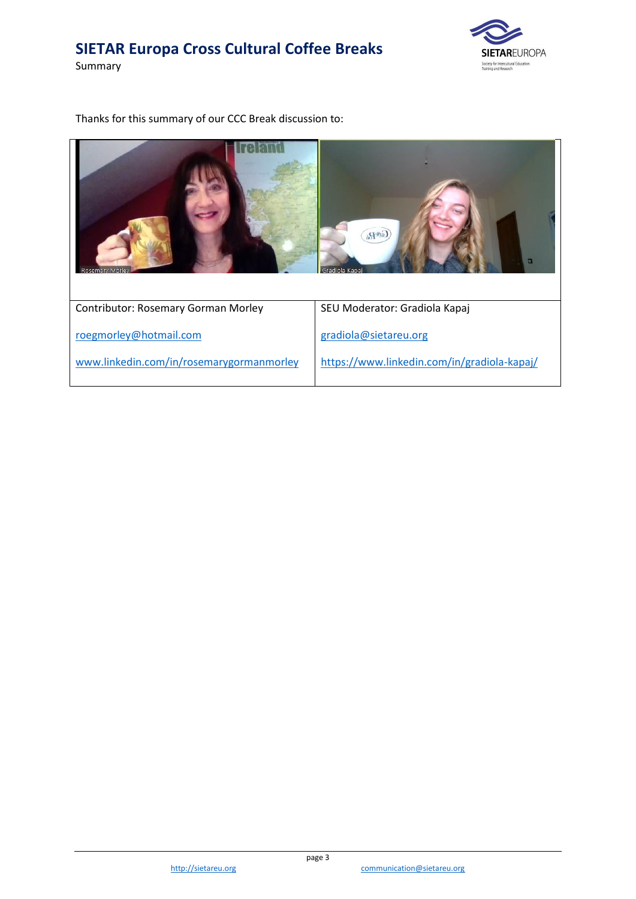Summary



Thanks for this summary of our CCC Break discussion to: